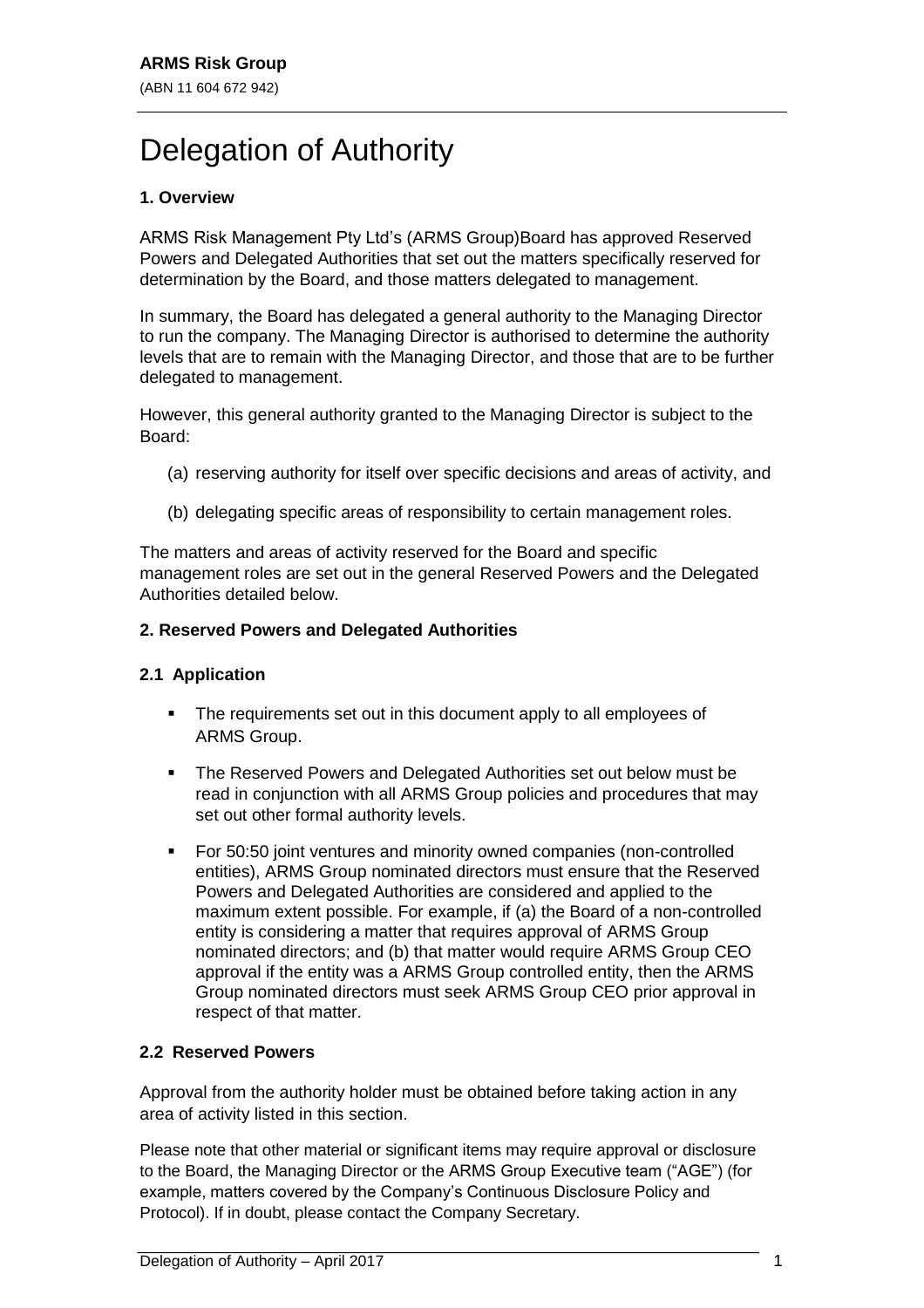# Delegation of Authority

## **1. Overview**

ARMS Risk Management Pty Ltd's (ARMS Group)Board has approved Reserved Powers and Delegated Authorities that set out the matters specifically reserved for determination by the Board, and those matters delegated to management.

In summary, the Board has delegated a general authority to the Managing Director to run the company. The Managing Director is authorised to determine the authority levels that are to remain with the Managing Director, and those that are to be further delegated to management.

However, this general authority granted to the Managing Director is subject to the Board:

- (a) reserving authority for itself over specific decisions and areas of activity, and
- (b) delegating specific areas of responsibility to certain management roles.

The matters and areas of activity reserved for the Board and specific management roles are set out in the general Reserved Powers and the Delegated Authorities detailed below.

### **2. Reserved Powers and Delegated Authorities**

## **2.1 Application**

- The requirements set out in this document apply to all employees of ARMS Group.
- The Reserved Powers and Delegated Authorities set out below must be read in conjunction with all ARMS Group policies and procedures that may set out other formal authority levels.
- For 50:50 joint ventures and minority owned companies (non-controlled entities), ARMS Group nominated directors must ensure that the Reserved Powers and Delegated Authorities are considered and applied to the maximum extent possible. For example, if (a) the Board of a non-controlled entity is considering a matter that requires approval of ARMS Group nominated directors; and (b) that matter would require ARMS Group CEO approval if the entity was a ARMS Group controlled entity, then the ARMS Group nominated directors must seek ARMS Group CEO prior approval in respect of that matter.

## **2.2 Reserved Powers**

Approval from the authority holder must be obtained before taking action in any area of activity listed in this section.

Please note that other material or significant items may require approval or disclosure to the Board, the Managing Director or the ARMS Group Executive team ("AGE") (for example, matters covered by the Company's Continuous Disclosure Policy and Protocol). If in doubt, please contact the Company Secretary.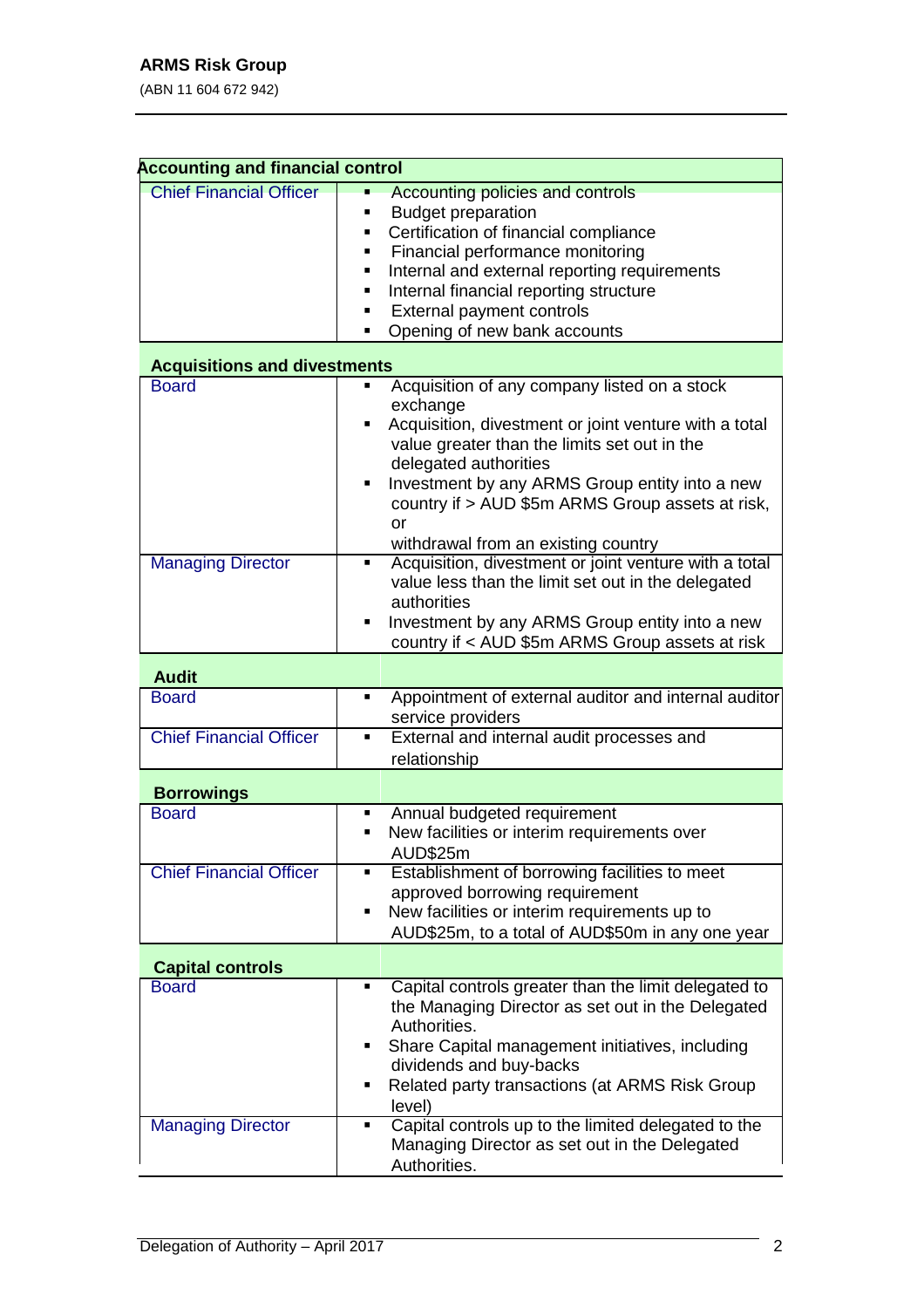| <b>Accounting and financial control</b>                             |                                                                                                                                                                                                                                                                                                                                                    |  |  |  |  |  |
|---------------------------------------------------------------------|----------------------------------------------------------------------------------------------------------------------------------------------------------------------------------------------------------------------------------------------------------------------------------------------------------------------------------------------------|--|--|--|--|--|
| <b>Chief Financial Officer</b>                                      | <b>Accounting policies and controls</b><br><b>Budget preparation</b><br>Certification of financial compliance<br>Financial performance monitoring<br>Internal and external reporting requirements<br>Internal financial reporting structure<br>External payment controls<br>Opening of new bank accounts                                           |  |  |  |  |  |
| <b>Acquisitions and divestments</b>                                 |                                                                                                                                                                                                                                                                                                                                                    |  |  |  |  |  |
| <b>Board</b>                                                        | Acquisition of any company listed on a stock<br>exchange<br>Acquisition, divestment or joint venture with a total<br>value greater than the limits set out in the<br>delegated authorities<br>Investment by any ARMS Group entity into a new<br>П<br>country if > AUD \$5m ARMS Group assets at risk,<br>or<br>withdrawal from an existing country |  |  |  |  |  |
| <b>Managing Director</b>                                            | Acquisition, divestment or joint venture with a total<br>٠<br>value less than the limit set out in the delegated<br>authorities<br>Investment by any ARMS Group entity into a new<br>country if < AUD \$5m ARMS Group assets at risk                                                                                                               |  |  |  |  |  |
| <b>Audit</b>                                                        |                                                                                                                                                                                                                                                                                                                                                    |  |  |  |  |  |
| <b>Board</b><br><b>Chief Financial Officer</b>                      | Appointment of external auditor and internal auditor<br>٠<br>service providers<br>External and internal audit processes and<br>$\blacksquare$                                                                                                                                                                                                      |  |  |  |  |  |
|                                                                     | relationship                                                                                                                                                                                                                                                                                                                                       |  |  |  |  |  |
| <b>Borrowings</b><br><b>Board</b><br><b>Chief Financial Officer</b> | Annual budgeted requirement<br>٠<br>New facilities or interim requirements over<br>٠<br>AUD\$25m<br>Establishment of borrowing facilities to meet                                                                                                                                                                                                  |  |  |  |  |  |
|                                                                     | approved borrowing requirement<br>New facilities or interim requirements up to<br>٠<br>AUD\$25m, to a total of AUD\$50m in any one year                                                                                                                                                                                                            |  |  |  |  |  |
| <b>Capital controls</b>                                             |                                                                                                                                                                                                                                                                                                                                                    |  |  |  |  |  |
| <b>Board</b>                                                        | Capital controls greater than the limit delegated to<br>$\blacksquare$<br>the Managing Director as set out in the Delegated<br>Authorities.<br>Share Capital management initiatives, including<br>dividends and buy-backs<br>Related party transactions (at ARMS Risk Group<br>п<br>level)                                                         |  |  |  |  |  |
| <b>Managing Director</b>                                            | Capital controls up to the limited delegated to the<br>٠<br>Managing Director as set out in the Delegated<br>Authorities.                                                                                                                                                                                                                          |  |  |  |  |  |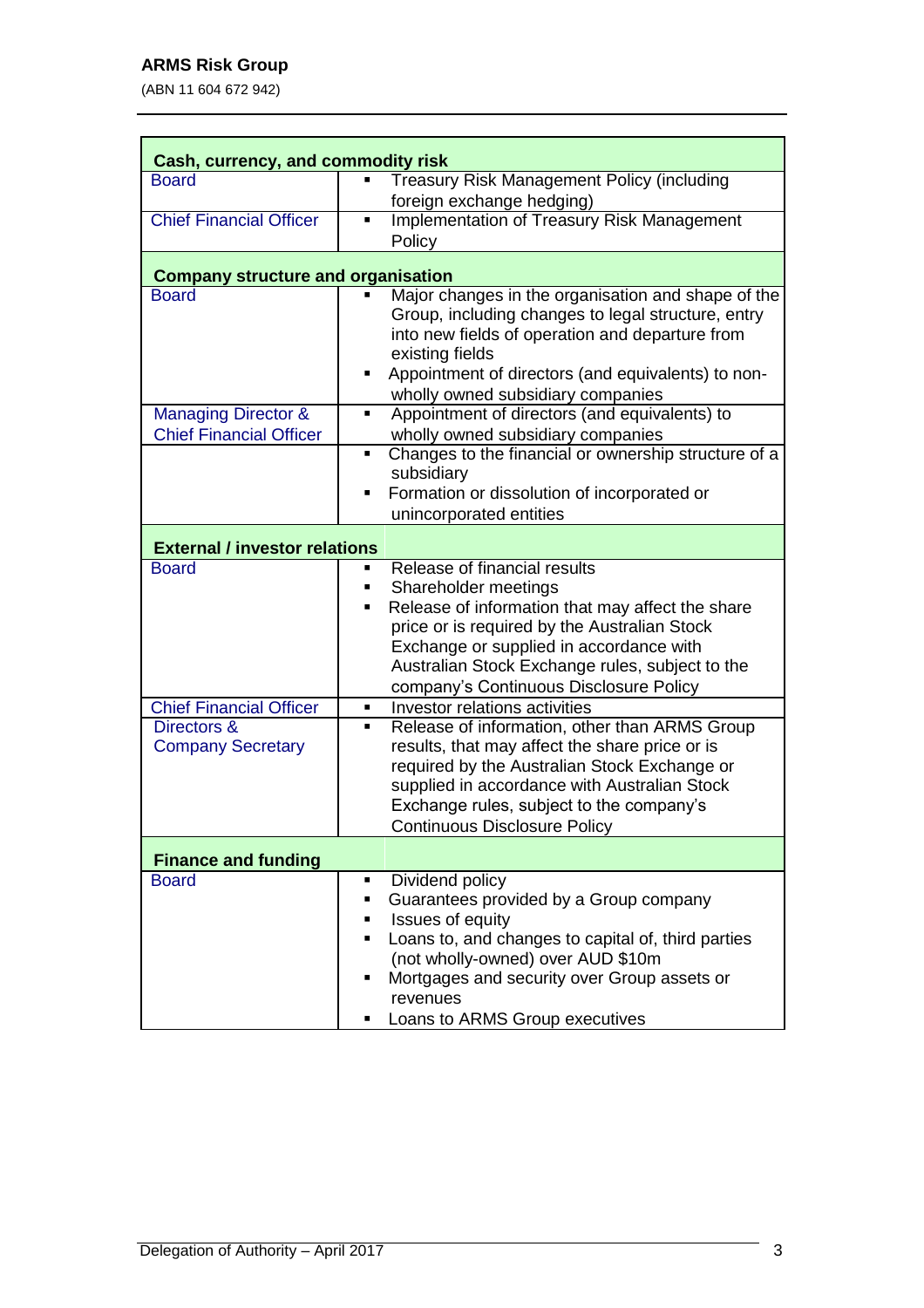| Cash, currency, and commodity risk        |                                                                                                                                                                                                                                                                                                                 |  |  |  |  |
|-------------------------------------------|-----------------------------------------------------------------------------------------------------------------------------------------------------------------------------------------------------------------------------------------------------------------------------------------------------------------|--|--|--|--|
| <b>Board</b>                              | <b>Treasury Risk Management Policy (including</b><br>foreign exchange hedging)                                                                                                                                                                                                                                  |  |  |  |  |
| <b>Chief Financial Officer</b>            | <b>Implementation of Treasury Risk Management</b><br>П<br>Policy                                                                                                                                                                                                                                                |  |  |  |  |
| <b>Company structure and organisation</b> |                                                                                                                                                                                                                                                                                                                 |  |  |  |  |
| <b>Board</b>                              | Major changes in the organisation and shape of the<br>Group, including changes to legal structure, entry<br>into new fields of operation and departure from<br>existing fields<br>Appointment of directors (and equivalents) to non-<br>٠<br>wholly owned subsidiary companies                                  |  |  |  |  |
| <b>Managing Director &amp;</b>            | Appointment of directors (and equivalents) to<br>٠                                                                                                                                                                                                                                                              |  |  |  |  |
| <b>Chief Financial Officer</b>            | wholly owned subsidiary companies<br>Changes to the financial or ownership structure of a<br>٠<br>subsidiary<br>Formation or dissolution of incorporated or<br>٠<br>unincorporated entities                                                                                                                     |  |  |  |  |
| <b>External / investor relations</b>      |                                                                                                                                                                                                                                                                                                                 |  |  |  |  |
| <b>Board</b>                              | Release of financial results<br>٠<br>Shareholder meetings<br>п<br>Release of information that may affect the share<br>п<br>price or is required by the Australian Stock<br>Exchange or supplied in accordance with<br>Australian Stock Exchange rules, subject to the<br>company's Continuous Disclosure Policy |  |  |  |  |
| <b>Chief Financial Officer</b>            | Investor relations activities<br>٠                                                                                                                                                                                                                                                                              |  |  |  |  |
| Directors &<br><b>Company Secretary</b>   | Release of information, other than ARMS Group<br>٠<br>results, that may affect the share price or is<br>required by the Australian Stock Exchange or<br>supplied in accordance with Australian Stock<br>Exchange rules, subject to the company's<br><b>Continuous Disclosure Policy</b>                         |  |  |  |  |
| <b>Finance and funding</b>                |                                                                                                                                                                                                                                                                                                                 |  |  |  |  |
| <b>Board</b>                              | Dividend policy<br>Guarantees provided by a Group company<br>Issues of equity<br>Loans to, and changes to capital of, third parties<br>(not wholly-owned) over AUD \$10m<br>Mortgages and security over Group assets or<br>revenues<br>Loans to ARMS Group executives                                           |  |  |  |  |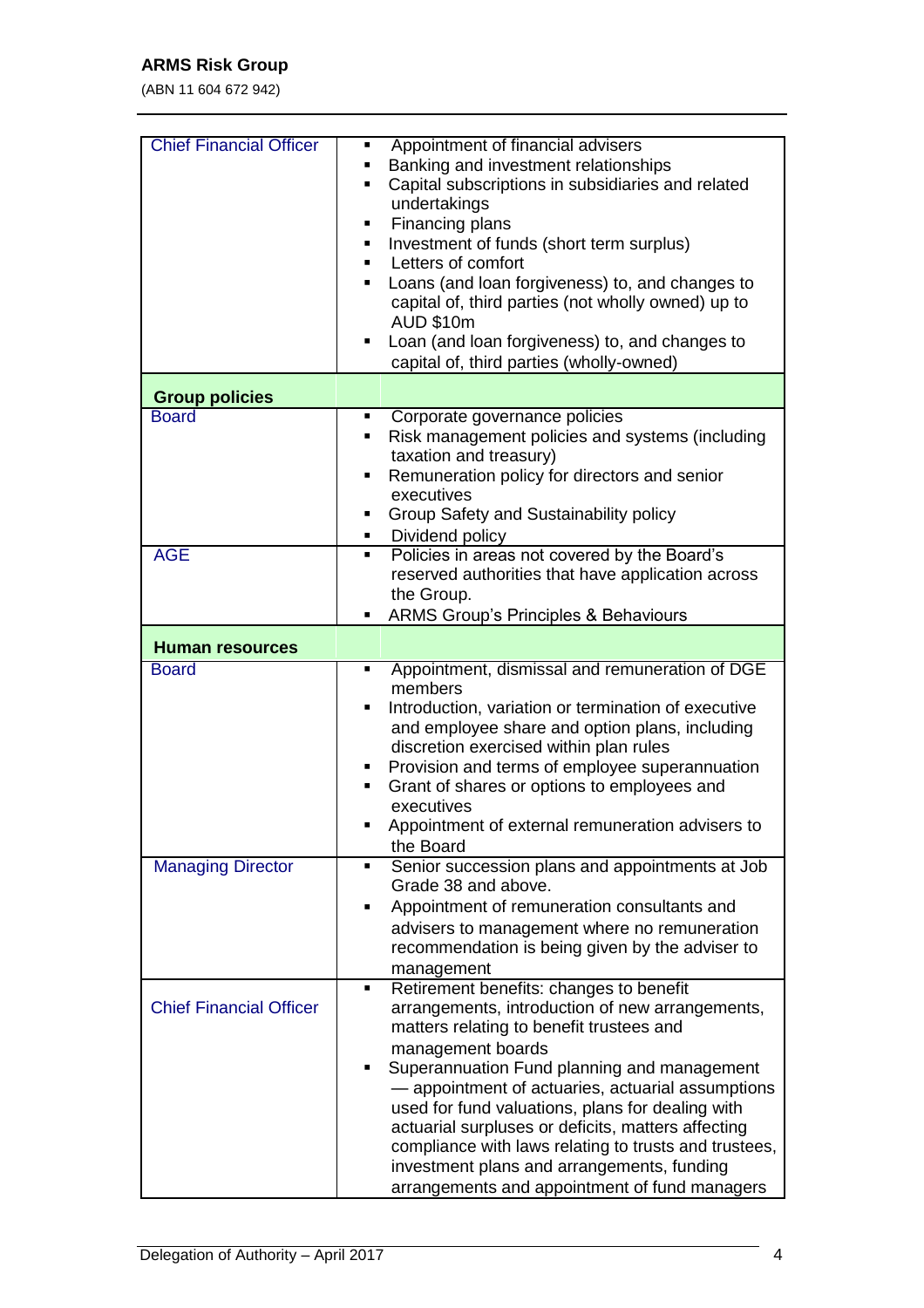| <b>Chief Financial Officer</b> | Appointment of financial advisers<br>٠<br>Banking and investment relationships<br>٠<br>Capital subscriptions in subsidiaries and related<br>٠<br>undertakings<br>Financing plans<br>٠<br>Investment of funds (short term surplus)<br>٠<br>Letters of comfort<br>Loans (and loan forgiveness) to, and changes to<br>capital of, third parties (not wholly owned) up to<br><b>AUD \$10m</b><br>Loan (and loan forgiveness) to, and changes to<br>capital of, third parties (wholly-owned)                                                     |
|--------------------------------|---------------------------------------------------------------------------------------------------------------------------------------------------------------------------------------------------------------------------------------------------------------------------------------------------------------------------------------------------------------------------------------------------------------------------------------------------------------------------------------------------------------------------------------------|
| <b>Group policies</b>          |                                                                                                                                                                                                                                                                                                                                                                                                                                                                                                                                             |
| <b>Board</b>                   | Corporate governance policies<br>٠                                                                                                                                                                                                                                                                                                                                                                                                                                                                                                          |
|                                | Risk management policies and systems (including<br>٠<br>taxation and treasury)<br>Remuneration policy for directors and senior<br>٠<br>executives<br>Group Safety and Sustainability policy<br>Dividend policy<br>٠                                                                                                                                                                                                                                                                                                                         |
| <b>AGE</b>                     | Policies in areas not covered by the Board's<br>٠                                                                                                                                                                                                                                                                                                                                                                                                                                                                                           |
|                                | reserved authorities that have application across<br>the Group.<br><b>ARMS Group's Principles &amp; Behaviours</b>                                                                                                                                                                                                                                                                                                                                                                                                                          |
| <b>Human resources</b>         |                                                                                                                                                                                                                                                                                                                                                                                                                                                                                                                                             |
| <b>Board</b>                   | Appointment, dismissal and remuneration of DGE<br>٠                                                                                                                                                                                                                                                                                                                                                                                                                                                                                         |
|                                | members<br>Introduction, variation or termination of executive<br>and employee share and option plans, including<br>discretion exercised within plan rules<br>Provision and terms of employee superannuation<br>Grant of shares or options to employees and<br>executives<br>Appointment of external remuneration advisers to<br>the Board                                                                                                                                                                                                  |
| <b>Managing Director</b>       | Senior succession plans and appointments at Job<br>$\blacksquare$                                                                                                                                                                                                                                                                                                                                                                                                                                                                           |
|                                | Grade 38 and above.<br>Appointment of remuneration consultants and<br>٠<br>advisers to management where no remuneration<br>recommendation is being given by the adviser to<br>management                                                                                                                                                                                                                                                                                                                                                    |
| <b>Chief Financial Officer</b> | Retirement benefits: changes to benefit<br>٠<br>arrangements, introduction of new arrangements,<br>matters relating to benefit trustees and<br>management boards<br>Superannuation Fund planning and management<br>٠<br>- appointment of actuaries, actuarial assumptions<br>used for fund valuations, plans for dealing with<br>actuarial surpluses or deficits, matters affecting<br>compliance with laws relating to trusts and trustees,<br>investment plans and arrangements, funding<br>arrangements and appointment of fund managers |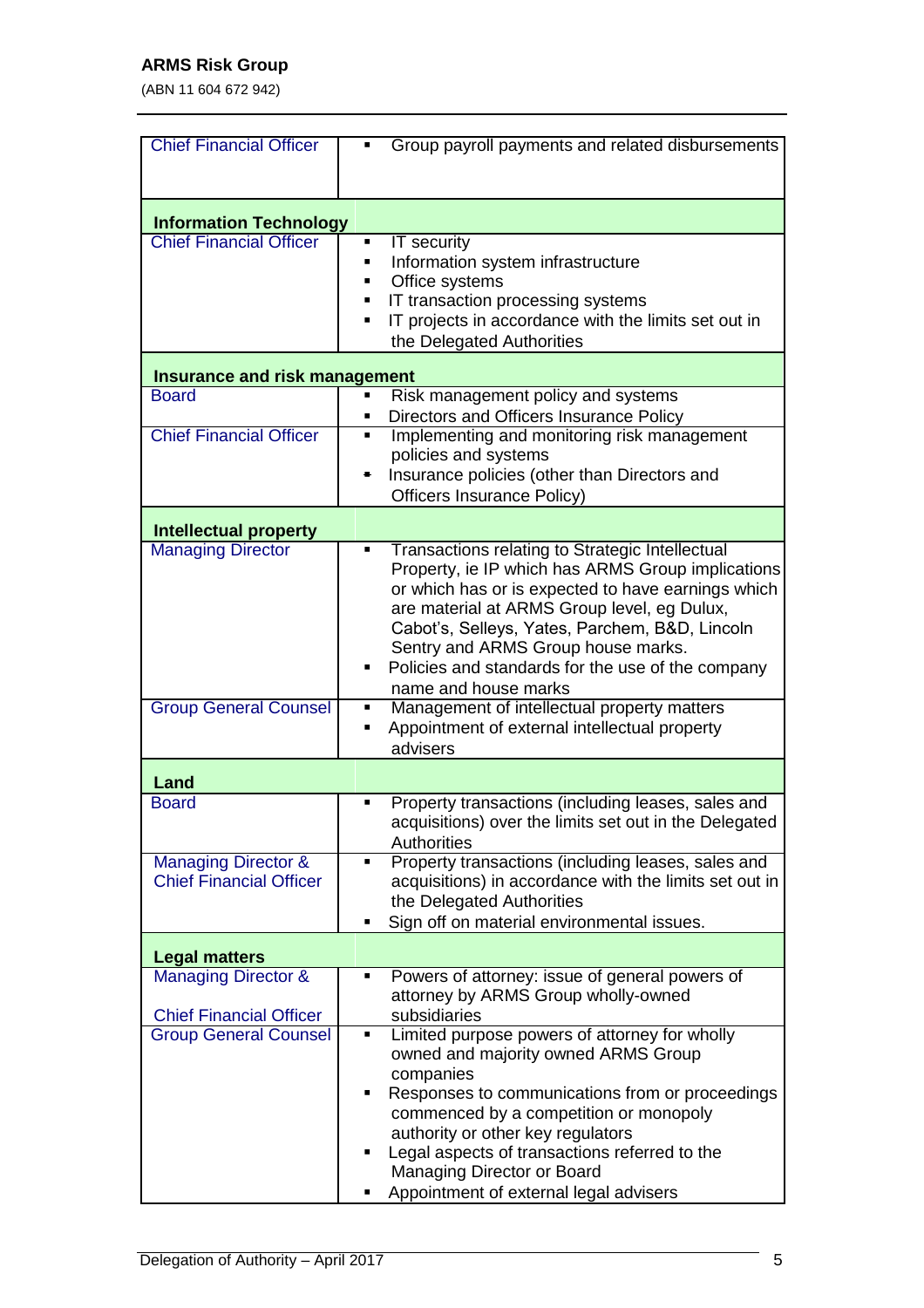| <b>Chief Financial Officer</b>       | Group payroll payments and related disbursements<br>٠                              |  |  |
|--------------------------------------|------------------------------------------------------------------------------------|--|--|
|                                      |                                                                                    |  |  |
|                                      |                                                                                    |  |  |
| <b>Information Technology</b>        |                                                                                    |  |  |
| <b>Chief Financial Officer</b>       | IT security<br>٠                                                                   |  |  |
|                                      | Information system infrastructure<br>п                                             |  |  |
|                                      | Office systems                                                                     |  |  |
|                                      | IT transaction processing systems<br>п                                             |  |  |
|                                      | IT projects in accordance with the limits set out in<br>П                          |  |  |
|                                      | the Delegated Authorities                                                          |  |  |
|                                      |                                                                                    |  |  |
| <b>Insurance and risk management</b> |                                                                                    |  |  |
| <b>Board</b>                         | Risk management policy and systems                                                 |  |  |
|                                      | Directors and Officers Insurance Policy<br>٠                                       |  |  |
| <b>Chief Financial Officer</b>       | Implementing and monitoring risk management<br>٠                                   |  |  |
|                                      | policies and systems                                                               |  |  |
|                                      | Insurance policies (other than Directors and<br>٠                                  |  |  |
|                                      | Officers Insurance Policy)                                                         |  |  |
| <b>Intellectual property</b>         |                                                                                    |  |  |
| <b>Managing Director</b>             | Transactions relating to Strategic Intellectual<br>٠                               |  |  |
|                                      | Property, ie IP which has ARMS Group implications                                  |  |  |
|                                      | or which has or is expected to have earnings which                                 |  |  |
|                                      | are material at ARMS Group level, eg Dulux,                                        |  |  |
|                                      | Cabot's, Selleys, Yates, Parchem, B&D, Lincoln                                     |  |  |
|                                      | Sentry and ARMS Group house marks.                                                 |  |  |
|                                      | Policies and standards for the use of the company<br>٠                             |  |  |
|                                      | name and house marks                                                               |  |  |
| <b>Group General Counsel</b>         | Management of intellectual property matters<br>٠                                   |  |  |
|                                      | Appointment of external intellectual property<br>٠                                 |  |  |
|                                      | advisers                                                                           |  |  |
| Land                                 |                                                                                    |  |  |
| <b>Board</b>                         | Property transactions (including leases, sales and<br>П                            |  |  |
|                                      | acquisitions) over the limits set out in the Delegated                             |  |  |
|                                      | Authorities                                                                        |  |  |
| <b>Managing Director &amp;</b>       | Property transactions (including leases, sales and<br>٠                            |  |  |
| <b>Chief Financial Officer</b>       | acquisitions) in accordance with the limits set out in                             |  |  |
|                                      | the Delegated Authorities                                                          |  |  |
|                                      | Sign off on material environmental issues.<br>п                                    |  |  |
|                                      |                                                                                    |  |  |
| <b>Legal matters</b>                 |                                                                                    |  |  |
| <b>Managing Director &amp;</b>       | Powers of attorney: issue of general powers of<br>٠                                |  |  |
|                                      | attorney by ARMS Group wholly-owned                                                |  |  |
| <b>Chief Financial Officer</b>       | subsidiaries                                                                       |  |  |
| <b>Group General Counsel</b>         | Limited purpose powers of attorney for wholly<br>٠                                 |  |  |
|                                      | owned and majority owned ARMS Group                                                |  |  |
|                                      | companies                                                                          |  |  |
|                                      | Responses to communications from or proceedings<br>п                               |  |  |
|                                      | commenced by a competition or monopoly                                             |  |  |
|                                      | authority or other key regulators<br>Legal aspects of transactions referred to the |  |  |
|                                      | ٠                                                                                  |  |  |
|                                      | Managing Director or Board                                                         |  |  |
|                                      | Appointment of external legal advisers                                             |  |  |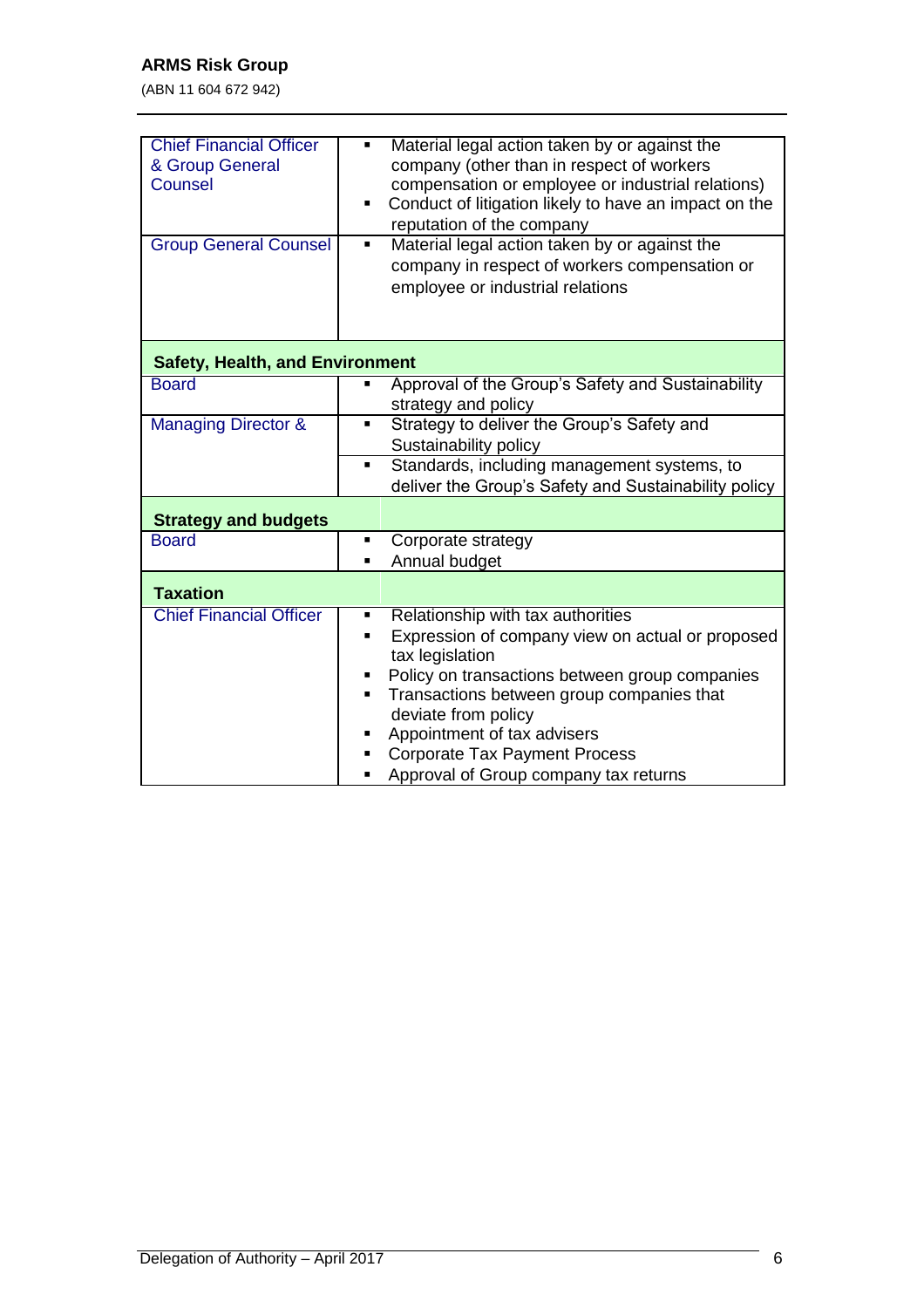| <b>Chief Financial Officer</b><br>& Group General<br>Counsel<br><b>Group General Counsel</b> | Material legal action taken by or against the<br>Ξ<br>company (other than in respect of workers<br>compensation or employee or industrial relations)<br>Conduct of litigation likely to have an impact on the<br>П<br>reputation of the company<br>Material legal action taken by or against the<br>٠<br>company in respect of workers compensation or<br>employee or industrial relations |  |
|----------------------------------------------------------------------------------------------|--------------------------------------------------------------------------------------------------------------------------------------------------------------------------------------------------------------------------------------------------------------------------------------------------------------------------------------------------------------------------------------------|--|
| <b>Safety, Health, and Environment</b>                                                       |                                                                                                                                                                                                                                                                                                                                                                                            |  |
| <b>Board</b>                                                                                 | Approval of the Group's Safety and Sustainability<br>strategy and policy                                                                                                                                                                                                                                                                                                                   |  |
| <b>Managing Director &amp;</b>                                                               | Strategy to deliver the Group's Safety and<br>$\blacksquare$<br>Sustainability policy                                                                                                                                                                                                                                                                                                      |  |
|                                                                                              | Standards, including management systems, to<br>$\blacksquare$<br>deliver the Group's Safety and Sustainability policy                                                                                                                                                                                                                                                                      |  |
| <b>Strategy and budgets</b>                                                                  |                                                                                                                                                                                                                                                                                                                                                                                            |  |
| <b>Board</b>                                                                                 | Corporate strategy<br>Ξ<br>Annual budget<br>Ξ                                                                                                                                                                                                                                                                                                                                              |  |
| <b>Taxation</b>                                                                              |                                                                                                                                                                                                                                                                                                                                                                                            |  |
| <b>Chief Financial Officer</b>                                                               | Relationship with tax authorities<br>Ξ<br>Expression of company view on actual or proposed<br>٠<br>tax legislation<br>Policy on transactions between group companies<br>п<br>Transactions between group companies that<br>Ξ<br>deviate from policy<br>Appointment of tax advisers<br><b>Corporate Tax Payment Process</b><br>Approval of Group company tax returns                         |  |